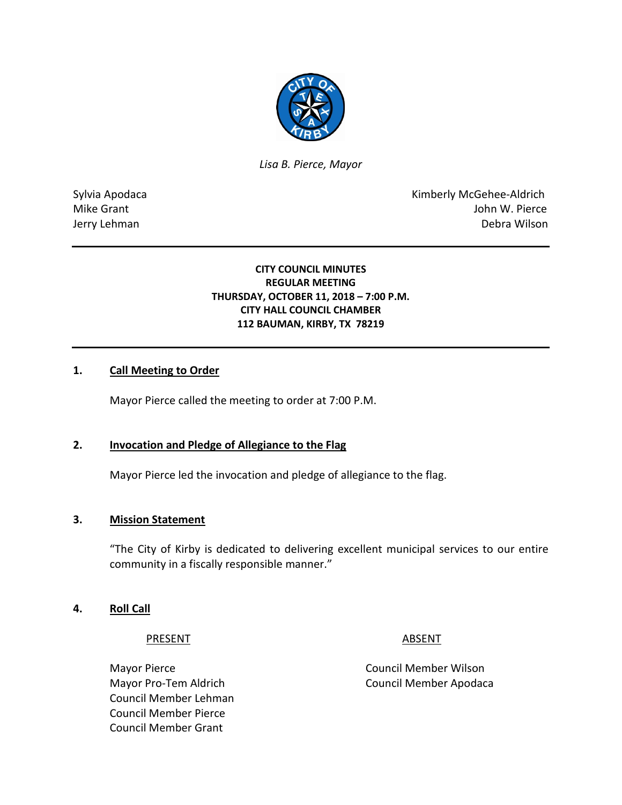

*Lisa B. Pierce, Mayor* 

Sylvia Apodaca National According Control of American Control of Kimberly McGehee-Aldrich Mike Grant **Mike Grant** And The Contract of the United States of the United States of the United States of the United States of the United States of the United States of the United States of the United States of the United Jerry Lehman Debra Wilson

### **CITY COUNCIL MINUTES REGULAR MEETING THURSDAY, OCTOBER 11, 2018 – 7:00 P.M. CITY HALL COUNCIL CHAMBER 112 BAUMAN, KIRBY, TX 78219**

### **1. Call Meeting to Order**

Mayor Pierce called the meeting to order at 7:00 P.M.

#### **2. Invocation and Pledge of Allegiance to the Flag**

Mayor Pierce led the invocation and pledge of allegiance to the flag.

#### **3. Mission Statement**

"The City of Kirby is dedicated to delivering excellent municipal services to our entire community in a fiscally responsible manner."

#### **4. Roll Call**

PRESENT ABSENT

Mayor Pierce **Council Member Wilson** Council Member Lehman Council Member Pierce Council Member Grant

Mayor Pro-Tem Aldrich Council Member Apodaca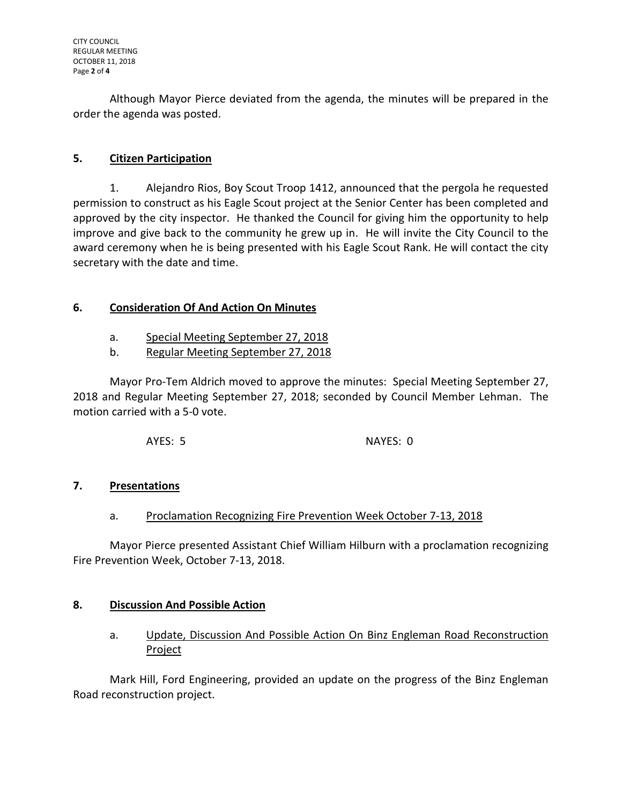Although Mayor Pierce deviated from the agenda, the minutes will be prepared in the order the agenda was posted.

# **5. Citizen Participation**

1. Alejandro Rios, Boy Scout Troop 1412, announced that the pergola he requested permission to construct as his Eagle Scout project at the Senior Center has been completed and approved by the city inspector. He thanked the Council for giving him the opportunity to help improve and give back to the community he grew up in. He will invite the City Council to the award ceremony when he is being presented with his Eagle Scout Rank. He will contact the city secretary with the date and time.

## **6. Consideration Of And Action On Minutes**

- a. Special Meeting September 27, 2018
- b. Regular Meeting September 27, 2018

Mayor Pro-Tem Aldrich moved to approve the minutes: Special Meeting September 27, 2018 and Regular Meeting September 27, 2018; seconded by Council Member Lehman. The motion carried with a 5-0 vote.

AYES: 5 NAYES: 0

## **7. Presentations**

## a. Proclamation Recognizing Fire Prevention Week October 7-13, 2018

Mayor Pierce presented Assistant Chief William Hilburn with a proclamation recognizing Fire Prevention Week, October 7-13, 2018.

## **8. Discussion And Possible Action**

a. Update, Discussion And Possible Action On Binz Engleman Road Reconstruction Project

Mark Hill, Ford Engineering, provided an update on the progress of the Binz Engleman Road reconstruction project.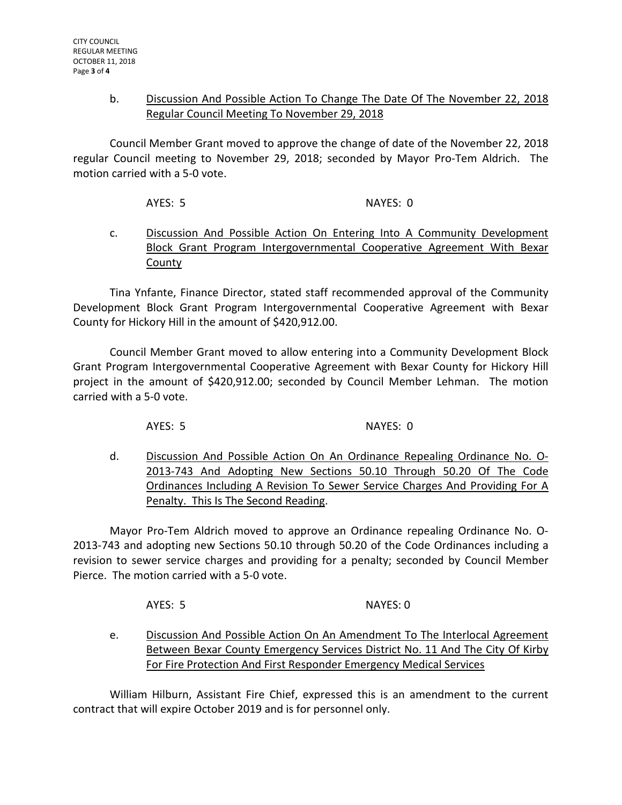### b. Discussion And Possible Action To Change The Date Of The November 22, 2018 Regular Council Meeting To November 29, 2018

Council Member Grant moved to approve the change of date of the November 22, 2018 regular Council meeting to November 29, 2018; seconded by Mayor Pro-Tem Aldrich. The motion carried with a 5-0 vote.

AYES: 5 NAYES: 0

c. Discussion And Possible Action On Entering Into A Community Development Block Grant Program Intergovernmental Cooperative Agreement With Bexar **County** 

Tina Ynfante, Finance Director, stated staff recommended approval of the Community Development Block Grant Program Intergovernmental Cooperative Agreement with Bexar County for Hickory Hill in the amount of \$420,912.00.

Council Member Grant moved to allow entering into a Community Development Block Grant Program Intergovernmental Cooperative Agreement with Bexar County for Hickory Hill project in the amount of \$420,912.00; seconded by Council Member Lehman. The motion carried with a 5-0 vote.

AYES: 5 NAYES: 0

d. Discussion And Possible Action On An Ordinance Repealing Ordinance No. O-2013-743 And Adopting New Sections 50.10 Through 50.20 Of The Code Ordinances Including A Revision To Sewer Service Charges And Providing For A Penalty. This Is The Second Reading.

Mayor Pro-Tem Aldrich moved to approve an Ordinance repealing Ordinance No. O-2013-743 and adopting new Sections 50.10 through 50.20 of the Code Ordinances including a revision to sewer service charges and providing for a penalty; seconded by Council Member Pierce. The motion carried with a 5-0 vote.

AYES: 5 NAYES: 0

e. Discussion And Possible Action On An Amendment To The Interlocal Agreement Between Bexar County Emergency Services District No. 11 And The City Of Kirby For Fire Protection And First Responder Emergency Medical Services

William Hilburn, Assistant Fire Chief, expressed this is an amendment to the current contract that will expire October 2019 and is for personnel only.